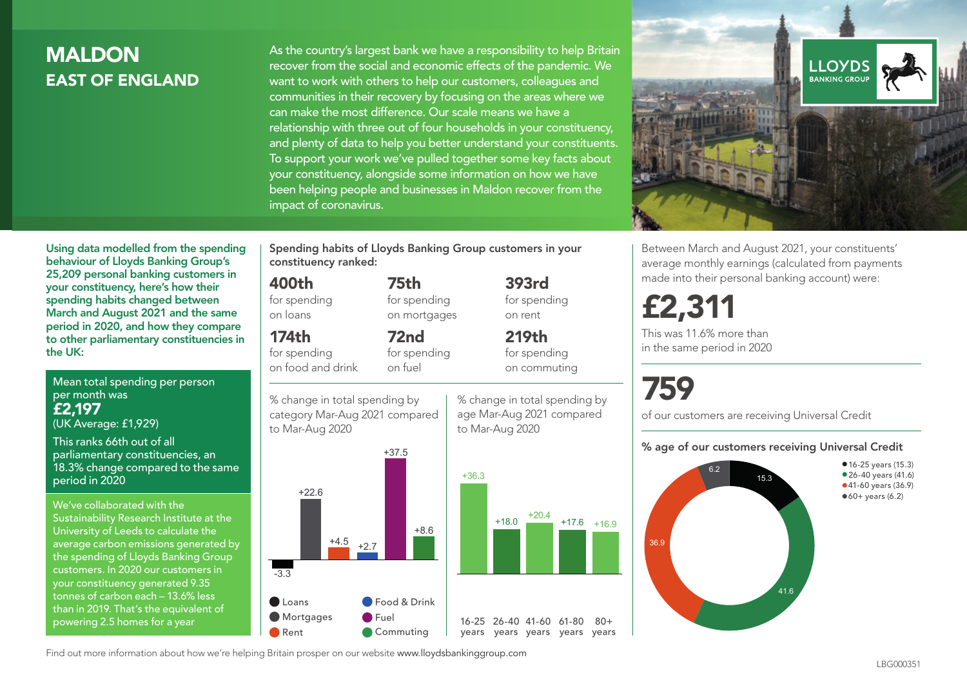# **MALDON** EAST OF ENGLAND

As the country's largest bank we have a responsibility to help Britain recover from the social and economic effects of the pandemic. We want to work with others to help our customers, colleagues and communities in their recovery by focusing on the areas where we can make the most difference. Our scale means we have a relationship with three out of four households in your constituency, and plenty of data to help you better understand your constituents. To support your work we've pulled together some key facts about your constituency, alongside some information on how we have been helping people and businesses in Maldon recover from the impact of coronavirus.



Between March and August 2021, your constituents' average monthly earnings (calculated from payments made into their personal banking account) were:

£2,311

This was 11.6% more than in the same period in 2020

# 759

of our customers are receiving Universal Credit

#### % age of our customers receiving Universal Credit



• 16-25 years (15.3) • 26-40 years (41.6) •41-60 years (36.9)  $•60+ years (6.2)$ 

Using data modelled from the spending behaviour of Lloyds Banking Group's 25,209 personal banking customers in your constituency, here's how their spending habits changed between March and August 2021 and the same period in 2020, and how they compare to other parliamentary constituencies in the UK:

Mean total spending per person per month was £2,197 (UK Average: £1,929)

This ranks 66th out of all parliamentary constituencies, an 18.3% change compared to the same period in 2020

We've collaborated with the Sustainability Research Institute at the University of Leeds to calculate the average carbon emissions generated by the spending of Lloyds Banking Group customers. In 2020 our customers in your constituency generated 9.35 tonnes of carbon each – 13.6% less than in 2019. That's the equivalent of powering 2.5 homes for a year

Spending habits of Lloyds Banking Group customers in your constituency ranked:

> 75th for spending on mortgages

72nd for spending

## 400th

for spending on loans

174th

for spending on food and drink

% change in total spending by on fuel



% change in total spending by age Mar-Aug 2021 compared to Mar-Aug 2020

393rd

for spending on rent 219th for spending on commuting

 $80 +$ 

Find out more information about how we're helping Britain prosper on our website www.lloydsbankinggroup.com